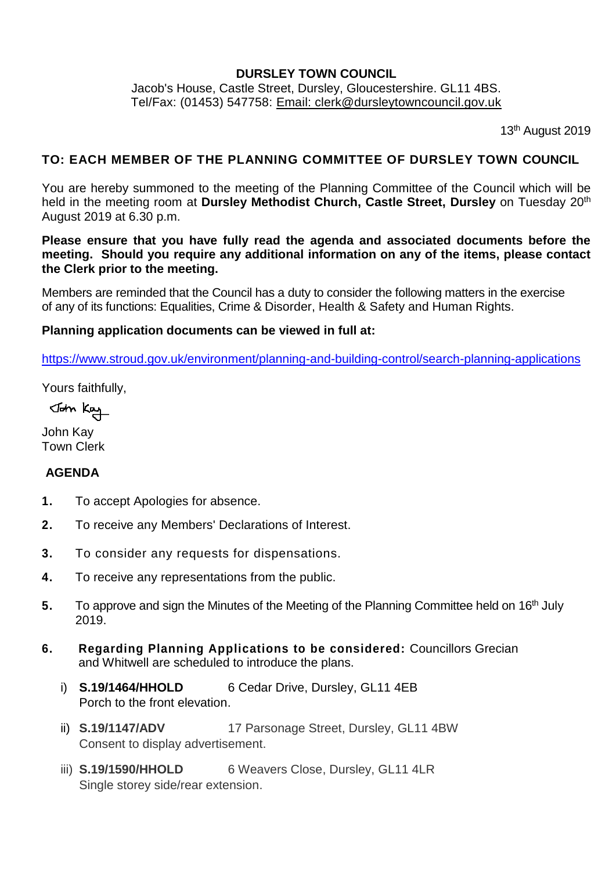### **DURSLEY TOWN COUNCIL**

Jacob's House, Castle Street, Dursley, Gloucestershire. GL11 4BS. Tel/Fax: (01453) 547758: [Email: clerk@dursleytowncouncil.gov.uk](mailto:clerk@dursleytowncouncil.gov.uk)

13<sup>th</sup> August 2019

### **TO: EACH MEMBER OF THE PLANNING COMMITTEE OF DURSLEY TOWN COUNCIL**

You are hereby summoned to the meeting of the Planning Committee of the Council which will be held in the meeting room at **Dursley Methodist Church, Castle Street, Dursley** on Tuesday 20th August 2019 at 6.30 p.m.

**Please ensure that you have fully read the agenda and associated documents before the meeting. Should you require any additional information on any of the items, please contact the Clerk prior to the meeting.**

Members are reminded that the Council has a duty to consider the following matters in the exercise of any of its functions: Equalities, Crime & Disorder, Health & Safety and Human Rights.

#### **Planning application documents can be viewed in full at:**

<https://www.stroud.gov.uk/environment/planning-and-building-control/search-planning-applications>

Yours faithfully,

John Kay

John Kay Town Clerk

### **AGENDA**

- **1.** To accept Apologies for absence.
- **2.** To receive any Members' Declarations of Interest.
- **3.** To consider any requests for dispensations.
- **4.** To receive any representations from the public.
- 5. To approve and sign the Minutes of the Meeting of the Planning Committee held on 16<sup>th</sup> July 2019.
- **6. Regarding Planning Applications to be considered:** Councillors Grecian and Whitwell are scheduled to introduce the plans.
	- i) **S.19/1464/HHOLD** 6 Cedar Drive, Dursley, GL11 4EB Porch to the front elevation.
	- ii) **S.19/1147/ADV** 17 Parsonage Street, Dursley, GL11 4BW Consent to display advertisement.
	- iii) **S.19/1590/HHOLD** 6 Weavers Close, Dursley, GL11 4LR Single storey side/rear extension.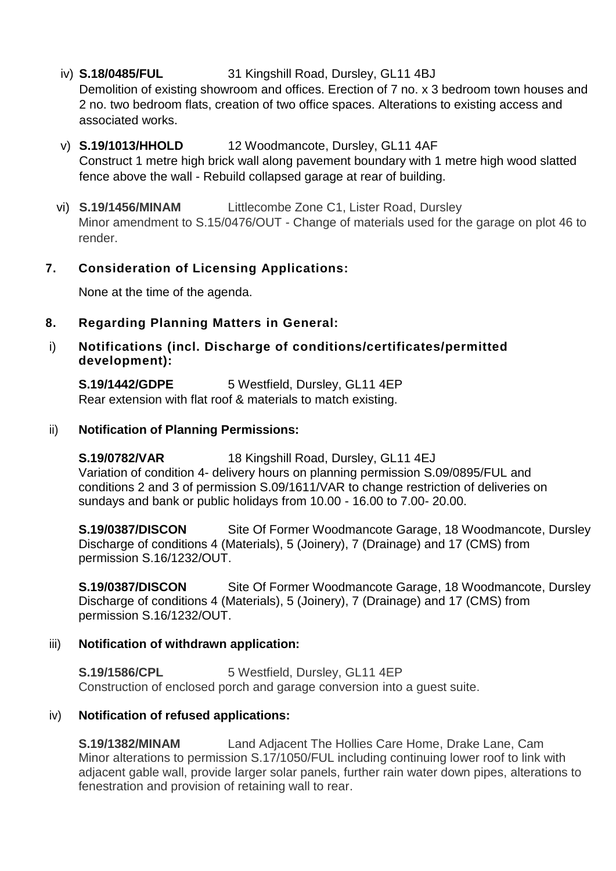# iv) **S.18/0485/FUL** 31 Kingshill Road, Dursley, GL11 4BJ

Demolition of existing showroom and offices. Erection of 7 no. x 3 bedroom town houses and 2 no. two bedroom flats, creation of two office spaces. Alterations to existing access and associated works.

### v) **S.19/1013/HHOLD** 12 Woodmancote, Dursley, GL11 4AF

Construct 1 metre high brick wall along pavement boundary with 1 metre high wood slatted fence above the wall - Rebuild collapsed garage at rear of building.

### vi) **S.19/1456/MINAM** Littlecombe Zone C1, Lister Road, Dursley

Minor amendment to S.15/0476/OUT - Change of materials used for the garage on plot 46 to render.

# **7. Consideration of Licensing Applications:**

None at the time of the agenda.

### **8. Regarding Planning Matters in General:**

### i) **Notifications (incl. Discharge of conditions/certificates/permitted development):**

**S.19/1442/GDPE** 5 Westfield, Dursley, GL11 4EP Rear extension with flat roof & materials to match existing.

### ii) **Notification of Planning Permissions:**

**S.19/0782/VAR** 18 Kingshill Road, Dursley, GL11 4EJ Variation of condition 4- delivery hours on planning permission S.09/0895/FUL and conditions 2 and 3 of permission S.09/1611/VAR to change restriction of deliveries on sundays and bank or public holidays from 10.00 - 16.00 to 7.00- 20.00.

**S.19/0387/DISCON** Site Of Former Woodmancote Garage, 18 Woodmancote, Dursley Discharge of conditions 4 (Materials), 5 (Joinery), 7 (Drainage) and 17 (CMS) from permission S.16/1232/OUT.

**S.19/0387/DISCON** Site Of Former Woodmancote Garage, 18 Woodmancote, Dursley Discharge of conditions 4 (Materials), 5 (Joinery), 7 (Drainage) and 17 (CMS) from permission S.16/1232/OUT.

### iii) **Notification of withdrawn application:**

**S.19/1586/CPL** 5 Westfield, Dursley, GL11 4EP Construction of enclosed porch and garage conversion into a guest suite.

### iv) **Notification of refused applications:**

**S.19/1382/MINAM** Land Adjacent The Hollies Care Home, Drake Lane, Cam Minor alterations to permission S.17/1050/FUL including continuing lower roof to link with adjacent gable wall, provide larger solar panels, further rain water down pipes, alterations to fenestration and provision of retaining wall to rear.